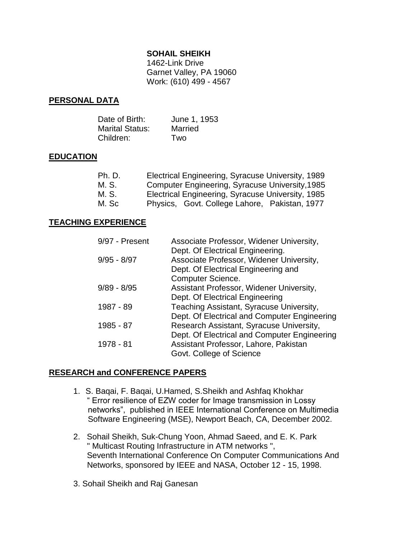### **SOHAIL SHEIKH**

1462-Link Drive Garnet Valley, PA 19060 Work: (610) 499 - 4567

### **PERSONAL DATA**

| Date of Birth:         | June 1, 1953 |
|------------------------|--------------|
| <b>Marital Status:</b> | Married      |
| Children:              | Two          |

### **EDUCATION**

| Ph. D. | Electrical Engineering, Syracuse University, 1989 |
|--------|---------------------------------------------------|
| M. S.  | Computer Engineering, Syracuse University, 1985   |
| M. S.  | Electrical Engineering, Syracuse University, 1985 |
| M. Sc  | Physics, Govt. College Lahore, Pakistan, 1977     |

#### **TEACHING EXPERIENCE**

| 9/97 - Present | Associate Professor, Widener University,     |
|----------------|----------------------------------------------|
|                | Dept. Of Electrical Engineering.             |
| $9/95 - 8/97$  | Associate Professor, Widener University,     |
|                | Dept. Of Electrical Engineering and          |
|                | <b>Computer Science.</b>                     |
| $9/89 - 8/95$  | Assistant Professor, Widener University,     |
|                | Dept. Of Electrical Engineering              |
| 1987 - 89      | Teaching Assistant, Syracuse University,     |
|                | Dept. Of Electrical and Computer Engineering |
| 1985 - 87      | Research Assistant, Syracuse University,     |
|                | Dept. Of Electrical and Computer Engineering |
| 1978 - 81      | Assistant Professor, Lahore, Pakistan        |
|                | Govt. College of Science                     |

#### **RESEARCH and CONFERENCE PAPERS**

- 1. S. Baqai, F. Baqai, U.Hamed, S.Sheikh and Ashfaq Khokhar " Error resilience of EZW coder for Image transmission in Lossy networks", published in IEEE International Conference on Multimedia Software Engineering (MSE), Newport Beach, CA, December 2002.
- 2. Sohail Sheikh, Suk-Chung Yoon, Ahmad Saeed, and E. K. Park " Multicast Routing Infrastructure in ATM networks ", Seventh International Conference On Computer Communications And Networks, sponsored by IEEE and NASA, October 12 - 15, 1998.
- 3. Sohail Sheikh and Raj Ganesan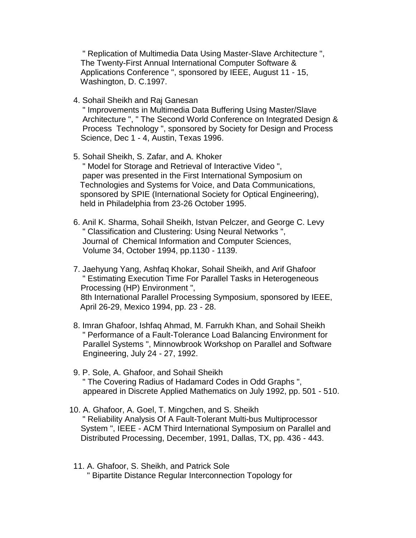" Replication of Multimedia Data Using Master-Slave Architecture ", The Twenty-First Annual International Computer Software & Applications Conference ", sponsored by IEEE, August 11 - 15, Washington, D. C.1997.

4. Sohail Sheikh and Raj Ganesan

 " Improvements in Multimedia Data Buffering Using Master/Slave Architecture ", " The Second World Conference on Integrated Design & Process Technology ", sponsored by Society for Design and Process Science, Dec 1 - 4, Austin, Texas 1996.

5. Sohail Sheikh, S. Zafar, and A. Khoker

 " Model for Storage and Retrieval of Interactive Video ", paper was presented in the First International Symposium on Technologies and Systems for Voice, and Data Communications, sponsored by SPIE (International Society for Optical Engineering), held in Philadelphia from 23-26 October 1995.

- 6. Anil K. Sharma, Sohail Sheikh, Istvan Pelczer, and George C. Levy " Classification and Clustering: Using Neural Networks ", Journal of Chemical Information and Computer Sciences, Volume 34, October 1994, pp.1130 - 1139.
- 7. Jaehyung Yang, Ashfaq Khokar, Sohail Sheikh, and Arif Ghafoor " Estimating Execution Time For Parallel Tasks in Heterogeneous Processing (HP) Environment ", 8th International Parallel Processing Symposium, sponsored by IEEE, April 26-29, Mexico 1994, pp. 23 - 28.
- 8. Imran Ghafoor, Ishfaq Ahmad, M. Farrukh Khan, and Sohail Sheikh " Performance of a Fault-Tolerance Load Balancing Environment for Parallel Systems ", Minnowbrook Workshop on Parallel and Software Engineering, July 24 - 27, 1992.
- 9. P. Sole, A. Ghafoor, and Sohail Sheikh " The Covering Radius of Hadamard Codes in Odd Graphs ", appeared in Discrete Applied Mathematics on July 1992, pp. 501 - 510.
- 10. A. Ghafoor, A. Goel, T. Mingchen, and S. Sheikh " Reliability Analysis Of A Fault-Tolerant Multi-bus Multiprocessor System ", IEEE - ACM Third International Symposium on Parallel and Distributed Processing, December, 1991, Dallas, TX, pp. 436 - 443.
- 11. A. Ghafoor, S. Sheikh, and Patrick Sole " Bipartite Distance Regular Interconnection Topology for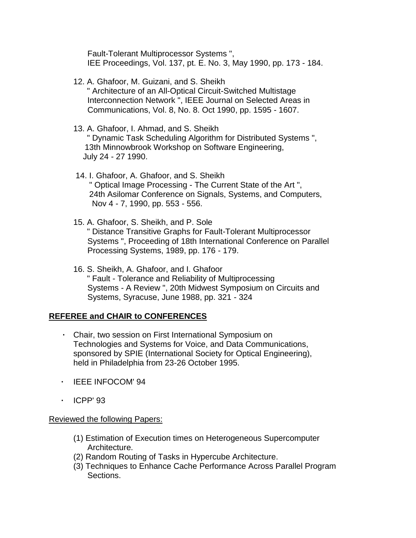Fault-Tolerant Multiprocessor Systems ", IEE Proceedings, Vol. 137, pt. E. No. 3, May 1990, pp. 173 - 184.

- 12. A. Ghafoor, M. Guizani, and S. Sheikh " Architecture of an All-Optical Circuit-Switched Multistage Interconnection Network ", IEEE Journal on Selected Areas in Communications, Vol. 8, No. 8. Oct 1990, pp. 1595 - 1607.
- 13. A. Ghafoor, I. Ahmad, and S. Sheikh " Dynamic Task Scheduling Algorithm for Distributed Systems ", 13th Minnowbrook Workshop on Software Engineering, July 24 - 27 1990.
- 14. I. Ghafoor, A. Ghafoor, and S. Sheikh " Optical Image Processing - The Current State of the Art ", 24th Asilomar Conference on Signals, Systems, and Computers, Nov 4 - 7, 1990, pp. 553 - 556.
- 15. A. Ghafoor, S. Sheikh, and P. Sole " Distance Transitive Graphs for Fault-Tolerant Multiprocessor Systems ", Proceeding of 18th International Conference on Parallel Processing Systems, 1989, pp. 176 - 179.
- 16. S. Sheikh, A. Ghafoor, and I. Ghafoor " Fault - Tolerance and Reliability of Multiprocessing Systems - A Review ", 20th Midwest Symposium on Circuits and Systems, Syracuse, June 1988, pp. 321 - 324

## **REFEREE and CHAIR to CONFERENCES**

- **·** Chair, two session on First International Symposium on Technologies and Systems for Voice, and Data Communications, sponsored by SPIE (International Society for Optical Engineering), held in Philadelphia from 23-26 October 1995.
- **·** IEEE INFOCOM' 94
- **·** ICPP' 93

### Reviewed the following Papers:

- (1) Estimation of Execution times on Heterogeneous Supercomputer Architecture.
- (2) Random Routing of Tasks in Hypercube Architecture.
- (3) Techniques to Enhance Cache Performance Across Parallel Program Sections.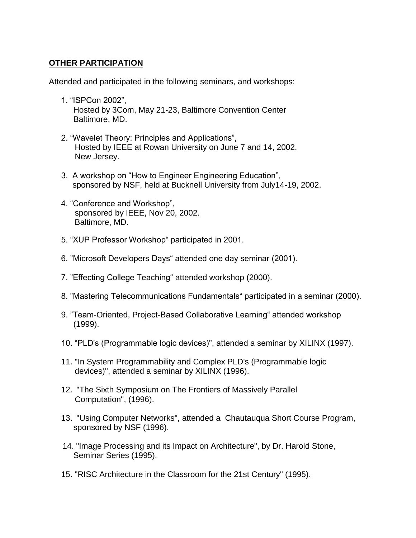# **OTHER PARTICIPATION**

Attended and participated in the following seminars, and workshops:

- 1. "ISPCon 2002", Hosted by 3Com, May 21-23, Baltimore Convention Center Baltimore, MD.
- 2. "Wavelet Theory: Principles and Applications", Hosted by IEEE at Rowan University on June 7 and 14, 2002. New Jersey.
- 3. A workshop on "How to Engineer Engineering Education", sponsored by NSF, held at Bucknell University from July14-19, 2002.
- 4. "Conference and Workshop", sponsored by IEEE, Nov 20, 2002. Baltimore, MD.
- 5. "XUP Professor Workshop" participated in 2001.
- 6. "Microsoft Developers Days" attended one day seminar (2001).
- 7. "Effecting College Teaching" attended workshop (2000).
- 8. "Mastering Telecommunications Fundamentals" participated in a seminar (2000).
- 9. "Team-Oriented, Project-Based Collaborative Learning" attended workshop (1999).
- 10. "PLD's (Programmable logic devices)", attended a seminar by XILINX (1997).
- 11. "In System Programmability and Complex PLD's (Programmable logic devices)", attended a seminar by XILINX (1996).
- 12. "The Sixth Symposium on The Frontiers of Massively Parallel Computation", (1996).
- 13. "Using Computer Networks", attended a Chautauqua Short Course Program, sponsored by NSF (1996).
- 14. "Image Processing and its Impact on Architecture", by Dr. Harold Stone, Seminar Series (1995).
- 15. "RISC Architecture in the Classroom for the 21st Century" (1995).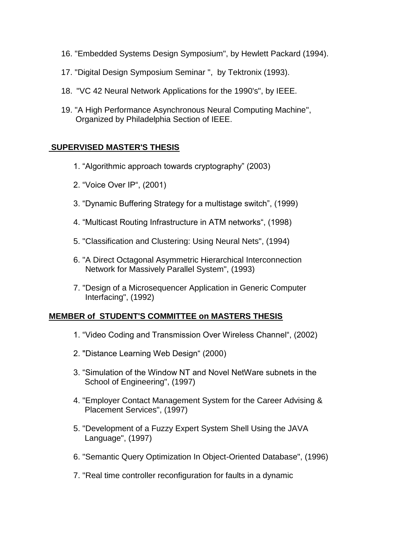- 16. "Embedded Systems Design Symposium", by Hewlett Packard (1994).
- 17. "Digital Design Symposium Seminar ", by Tektronix (1993).
- 18. "VC 42 Neural Network Applications for the 1990's", by IEEE.
- 19. "A High Performance Asynchronous Neural Computing Machine", Organized by Philadelphia Section of IEEE.

## **SUPERVISED MASTER'S THESIS**

- 1. "Algorithmic approach towards cryptography" (2003)
- 2. "Voice Over IP", (2001)
- 3. "Dynamic Buffering Strategy for a multistage switch", (1999)
- 4. "Multicast Routing Infrastructure in ATM networks", (1998)
- 5. "Classification and Clustering: Using Neural Nets", (1994)
- 6. "A Direct Octagonal Asymmetric Hierarchical Interconnection **Network for Massively Parallel System", (1993)**
- 7. "Design of a Microsequencer Application in Generic Computer Interfacing", (1992)

## **MEMBER of STUDENT'S COMMITTEE on MASTERS THESIS**

- 1. "Video Coding and Transmission Over Wireless Channel", (2002)
- 2. "Distance Learning Web Design" (2000)
- 3. "Simulation of the Window NT and Novel NetWare subnets in the School of Engineering", (1997)
- 4. "Employer Contact Management System for the Career Advising & Placement Services", (1997)
- 5. "Development of a Fuzzy Expert System Shell Using the JAVA Language", (1997)
- 6. "Semantic Query Optimization In Object-Oriented Database", (1996)
- 7. "Real time controller reconfiguration for faults in a dynamic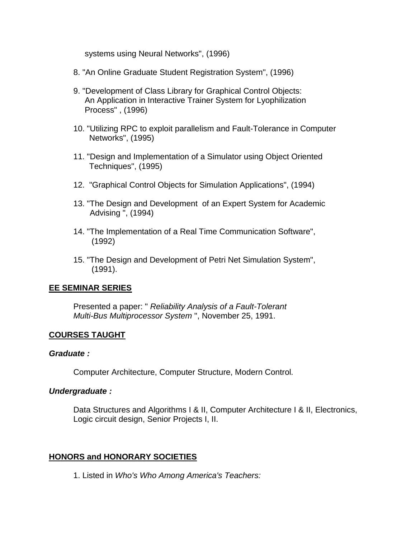systems using Neural Networks", (1996)

- 8. "An Online Graduate Student Registration System", (1996)
- 9. "Development of Class Library for Graphical Control Objects: An Application in Interactive Trainer System for Lyophilization Process" , (1996)
- 10. "Utilizing RPC to exploit parallelism and Fault-Tolerance in Computer Networks", (1995)
- 11. "Design and Implementation of a Simulator using Object Oriented Techniques", (1995)
- 12. "Graphical Control Objects for Simulation Applications", (1994)
- 13. "The Design and Development of an Expert System for Academic Advising ", (1994)
- 14. "The Implementation of a Real Time Communication Software", (1992)
- 15. "The Design and Development of Petri Net Simulation System", (1991).

### **EE SEMINAR SERIES**

Presented a paper: " *Reliability Analysis of a Fault-Tolerant Multi-Bus Multiprocessor System* ", November 25, 1991.

### **COURSES TAUGHT**

#### *Graduate :*

Computer Architecture, Computer Structure, Modern Control*.* 

#### *Undergraduate :*

Data Structures and Algorithms I & II, Computer Architecture I & II, Electronics, Logic circuit design, Senior Projects I, II.

### **HONORS and HONORARY SOCIETIES**

1. Listed in *Who's Who Among America's Teachers:*